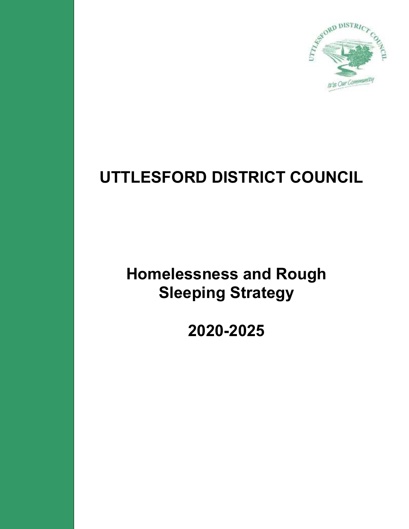

# **UTTLESFORD DISTRICT COUNCIL**

**Homelessness and Rough Sleeping Strategy**

**2020-2025**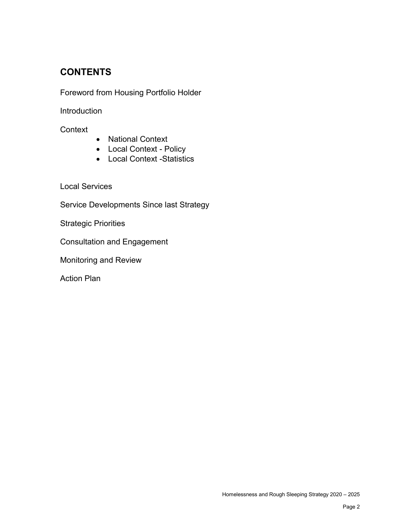## **CONTENTS**

Foreword from Housing Portfolio Holder

**Introduction** 

**Context** 

- National Context
- Local Context Policy
- Local Context -Statistics

Local Services

Service Developments Since last Strategy

Strategic Priorities

Consultation and Engagement

Monitoring and Review

Action Plan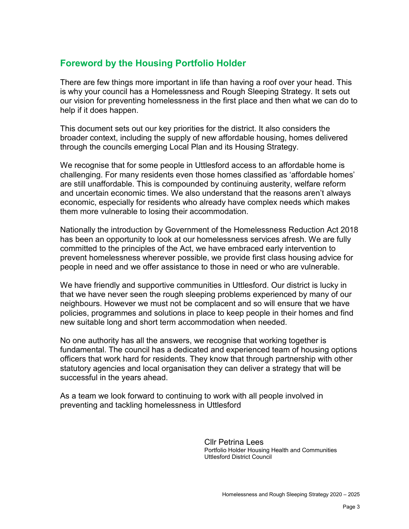## **Foreword by the Housing Portfolio Holder**

There are few things more important in life than having a roof over your head. This is why your council has a Homelessness and Rough Sleeping Strategy. It sets out our vision for preventing homelessness in the first place and then what we can do to help if it does happen.

This document sets out our key priorities for the district. It also considers the broader context, including the supply of new affordable housing, homes delivered through the councils emerging Local Plan and its Housing Strategy.

We recognise that for some people in Uttlesford access to an affordable home is challenging. For many residents even those homes classified as 'affordable homes' are still unaffordable. This is compounded by continuing austerity, welfare reform and uncertain economic times. We also understand that the reasons aren't always economic, especially for residents who already have complex needs which makes them more vulnerable to losing their accommodation.

Nationally the introduction by Government of the Homelessness Reduction Act 2018 has been an opportunity to look at our homelessness services afresh. We are fully committed to the principles of the Act, we have embraced early intervention to prevent homelessness wherever possible, we provide first class housing advice for people in need and we offer assistance to those in need or who are vulnerable.

We have friendly and supportive communities in Uttlesford. Our district is lucky in that we have never seen the rough sleeping problems experienced by many of our neighbours. However we must not be complacent and so will ensure that we have policies, programmes and solutions in place to keep people in their homes and find new suitable long and short term accommodation when needed.

No one authority has all the answers, we recognise that working together is fundamental. The council has a dedicated and experienced team of housing options officers that work hard for residents. They know that through partnership with other statutory agencies and local organisation they can deliver a strategy that will be successful in the years ahead.

As a team we look forward to continuing to work with all people involved in preventing and tackling homelessness in Uttlesford

> Cllr Petrina Lees Portfolio Holder Housing Health and Communities Uttlesford District Council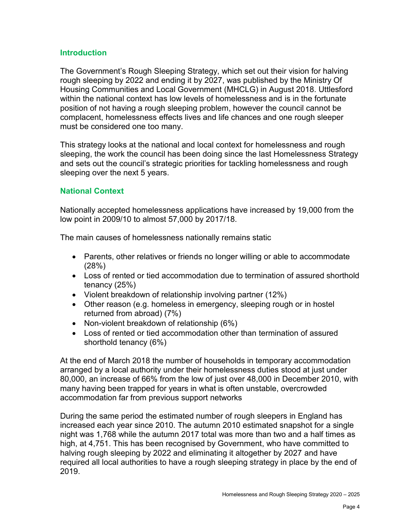#### **Introduction**

The Government's Rough Sleeping Strategy, which set out their vision for halving rough sleeping by 2022 and ending it by 2027, was published by the Ministry Of Housing Communities and Local Government (MHCLG) in August 2018. Uttlesford within the national context has low levels of homelessness and is in the fortunate position of not having a rough sleeping problem, however the council cannot be complacent, homelessness effects lives and life chances and one rough sleeper must be considered one too many.

This strategy looks at the national and local context for homelessness and rough sleeping, the work the council has been doing since the last Homelessness Strategy and sets out the council's strategic priorities for tackling homelessness and rough sleeping over the next 5 years.

## **National Context**

Nationally accepted homelessness applications have increased by 19,000 from the low point in 2009/10 to almost 57,000 by 2017/18.

The main causes of homelessness nationally remains static

- Parents, other relatives or friends no longer willing or able to accommodate (28%)
- Loss of rented or tied accommodation due to termination of assured shorthold tenancy (25%)
- Violent breakdown of relationship involving partner (12%)
- Other reason (e.g. homeless in emergency, sleeping rough or in hostel returned from abroad) (7%)
- Non-violent breakdown of relationship (6%)
- Loss of rented or tied accommodation other than termination of assured shorthold tenancy (6%)

At the end of March 2018 the number of households in temporary accommodation arranged by a local authority under their homelessness duties stood at just under 80,000, an increase of 66% from the low of just over 48,000 in December 2010, with many having been trapped for years in what is often unstable, overcrowded accommodation far from previous support networks

During the same period the estimated number of rough sleepers in England has increased each year since 2010. The autumn 2010 estimated snapshot for a single night was 1,768 while the autumn 2017 total was more than two and a half times as high, at 4,751. This has been recognised by Government, who have committed to halving rough sleeping by 2022 and eliminating it altogether by 2027 and have required all local authorities to have a rough sleeping strategy in place by the end of 2019.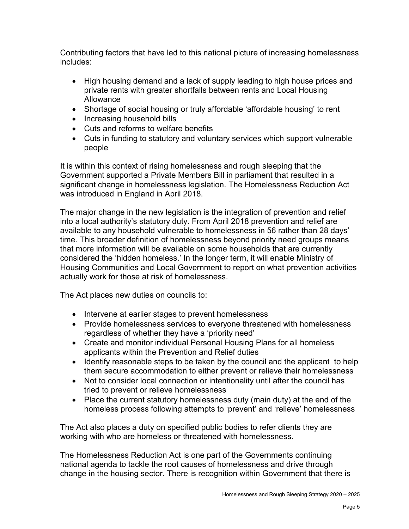Contributing factors that have led to this national picture of increasing homelessness includes:

- High housing demand and a lack of supply leading to high house prices and private rents with greater shortfalls between rents and Local Housing Allowance
- Shortage of social housing or truly affordable 'affordable housing' to rent
- Increasing household bills
- Cuts and reforms to welfare benefits
- Cuts in funding to statutory and voluntary services which support vulnerable people

It is within this context of rising homelessness and rough sleeping that the Government supported a Private Members Bill in parliament that resulted in a significant change in homelessness legislation. The Homelessness Reduction Act was introduced in England in April 2018.

The major change in the new legislation is the integration of prevention and relief into a local authority's statutory duty. From April 2018 prevention and relief are available to any household vulnerable to homelessness in 56 rather than 28 days' time. This broader definition of homelessness beyond priority need groups means that more information will be available on some households that are currently considered the 'hidden homeless.' In the longer term, it will enable Ministry of Housing Communities and Local Government to report on what prevention activities actually work for those at risk of homelessness.

The Act places new duties on councils to:

- Intervene at earlier stages to prevent homelessness
- Provide homelessness services to everyone threatened with homelessness regardless of whether they have a 'priority need'
- Create and monitor individual Personal Housing Plans for all homeless applicants within the Prevention and Relief duties
- Identify reasonable steps to be taken by the council and the applicant to help them secure accommodation to either prevent or relieve their homelessness
- Not to consider local connection or intentionality until after the council has tried to prevent or relieve homelessness
- Place the current statutory homelessness duty (main duty) at the end of the homeless process following attempts to 'prevent' and 'relieve' homelessness

The Act also places a duty on specified public bodies to refer clients they are working with who are homeless or threatened with homelessness.

The Homelessness Reduction Act is one part of the Governments continuing national agenda to tackle the root causes of homelessness and drive through change in the housing sector. There is recognition within Government that there is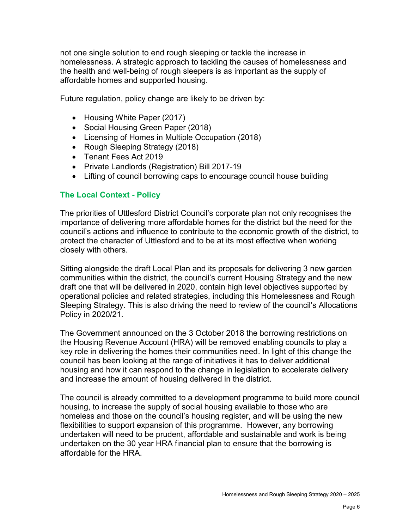not one single solution to end rough sleeping or tackle the increase in homelessness. A strategic approach to tackling the causes of homelessness and the health and well-being of rough sleepers is as important as the supply of affordable homes and supported housing.

Future regulation, policy change are likely to be driven by:

- Housing White Paper (2017)
- Social Housing Green Paper (2018)
- Licensing of Homes in Multiple Occupation (2018)
- Rough Sleeping Strategy (2018)
- Tenant Fees Act 2019
- Private Landlords (Registration) Bill 2017-19
- Lifting of council borrowing caps to encourage council house building

### **The Local Context - Policy**

The priorities of Uttlesford District Council's corporate plan not only recognises the importance of delivering more affordable homes for the district but the need for the council's actions and influence to contribute to the economic growth of the district, to protect the character of Uttlesford and to be at its most effective when working closely with others.

Sitting alongside the draft Local Plan and its proposals for delivering 3 new garden communities within the district, the council's current Housing Strategy and the new draft one that will be delivered in 2020, contain high level objectives supported by operational policies and related strategies, including this Homelessness and Rough Sleeping Strategy. This is also driving the need to review of the council's Allocations Policy in 2020/21.

The Government announced on the 3 October 2018 the borrowing restrictions on the Housing Revenue Account (HRA) will be removed enabling councils to play a key role in delivering the homes their communities need. In light of this change the council has been looking at the range of initiatives it has to deliver additional housing and how it can respond to the change in legislation to accelerate delivery and increase the amount of housing delivered in the district.

The council is already committed to a development programme to build more council housing, to increase the supply of social housing available to those who are homeless and those on the council's housing register, and will be using the new flexibilities to support expansion of this programme. However, any borrowing undertaken will need to be prudent, affordable and sustainable and work is being undertaken on the 30 year HRA financial plan to ensure that the borrowing is affordable for the HRA.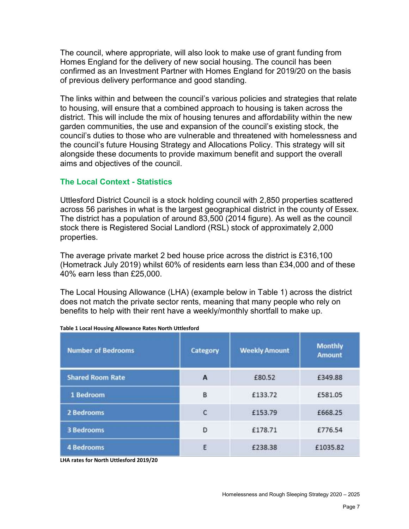The council, where appropriate, will also look to make use of grant funding from Homes England for the delivery of new social housing. The council has been confirmed as an Investment Partner with Homes England for 2019/20 on the basis of previous delivery performance and good standing.

The links within and between the council's various policies and strategies that relate to housing, will ensure that a combined approach to housing is taken across the district. This will include the mix of housing tenures and affordability within the new garden communities, the use and expansion of the council's existing stock, the council's duties to those who are vulnerable and threatened with homelessness and the council's future Housing Strategy and Allocations Policy. This strategy will sit alongside these documents to provide maximum benefit and support the overall aims and objectives of the council.

### **The Local Context - Statistics**

Uttlesford District Council is a stock holding council with 2,850 properties scattered across 56 parishes in what is the largest geographical district in the county of Essex. The district has a population of around 83,500 (2014 figure). As well as the council stock there is Registered Social Landlord (RSL) stock of approximately 2,000 properties.

The average private market 2 bed house price across the district is £316,100 (Hometrack July 2019) whilst 60% of residents earn less than £34,000 and of these 40% earn less than £25,000.

The Local Housing Allowance (LHA) (example below in Table 1) across the district does not match the private sector rents, meaning that many people who rely on benefits to help with their rent have a weekly/monthly shortfall to make up.

| <b>Number of Bedrooms</b> | Category     | <b>Weekly Amount</b> | <b>Monthly</b><br><b>Amount</b> |
|---------------------------|--------------|----------------------|---------------------------------|
| <b>Shared Room Rate</b>   | A            | £80.52               | £349.88                         |
| 1 Bedroom                 | B            | £133.72              | £581.05                         |
| 2 Bedrooms                | $\mathsf{C}$ | £153.79              | £668.25                         |
| <b>3 Bedrooms</b>         | $\mathsf{D}$ | £178.71              | £776.54                         |
| <b>4 Bedrooms</b>         | E            | £238.38              | £1035.82                        |

|  | Table 1 Local Housing Allowance Rates North Uttlesford |  |
|--|--------------------------------------------------------|--|
|  |                                                        |  |

**LHA rates for North Uttlesford 2019/20**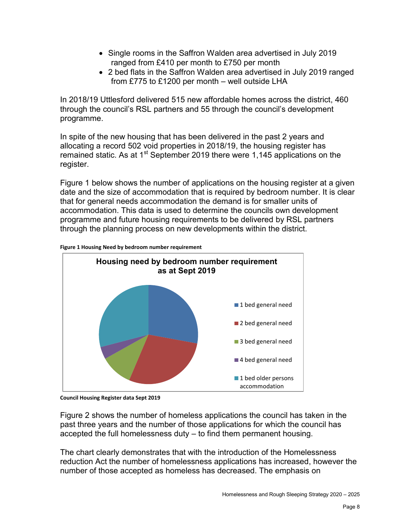- Single rooms in the Saffron Walden area advertised in July 2019 ranged from £410 per month to £750 per month
- 2 bed flats in the Saffron Walden area advertised in July 2019 ranged from £775 to £1200 per month – well outside LHA

In 2018/19 Uttlesford delivered 515 new affordable homes across the district, 460 through the council's RSL partners and 55 through the council's development programme.

In spite of the new housing that has been delivered in the past 2 years and allocating a record 502 void properties in 2018/19, the housing register has remained static. As at 1<sup>st</sup> September 2019 there were 1,145 applications on the register.

Figure 1 below shows the number of applications on the housing register at a given date and the size of accommodation that is required by bedroom number. It is clear that for general needs accommodation the demand is for smaller units of accommodation. This data is used to determine the councils own development programme and future housing requirements to be delivered by RSL partners through the planning process on new developments within the district.



**Figure 1 Housing Need by bedroom number requirement**

Figure 2 shows the number of homeless applications the council has taken in the past three years and the number of those applications for which the council has accepted the full homelessness duty – to find them permanent housing.

The chart clearly demonstrates that with the introduction of the Homelessness reduction Act the number of homelessness applications has increased, however the number of those accepted as homeless has decreased. The emphasis on

**Council Housing Register data Sept 2019**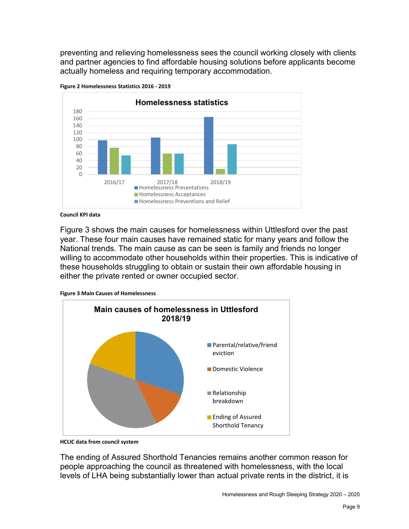preventing and relieving homelessness sees the council working closely with clients and partner agencies to find affordable housing solutions before applicants become actually homeless and requiring temporary accommodation.





#### **Council KPI data**

Figure 3 shows the main causes for homelessness within Uttlesford over the past year. These four main causes have remained static for many years and follow the National trends. The main cause as can be seen is family and friends no longer willing to accommodate other households within their properties. This is indicative of these households struggling to obtain or sustain their own affordable housing in either the private rented or owner occupied sector.





**HCLIC data from council system**

The ending of Assured Shorthold Tenancies remains another common reason for people approaching the council as threatened with homelessness, with the local levels of LHA being substantially lower than actual private rents in the district, it is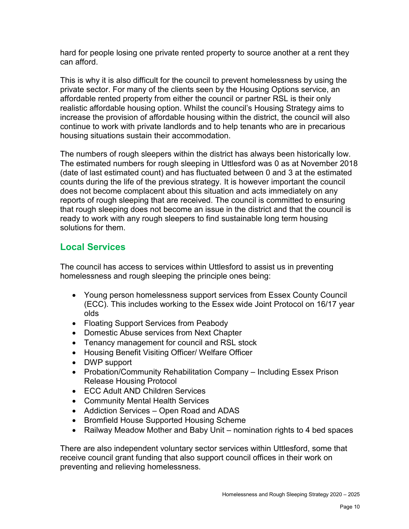hard for people losing one private rented property to source another at a rent they can afford.

This is why it is also difficult for the council to prevent homelessness by using the private sector. For many of the clients seen by the Housing Options service, an affordable rented property from either the council or partner RSL is their only realistic affordable housing option. Whilst the council's Housing Strategy aims to increase the provision of affordable housing within the district, the council will also continue to work with private landlords and to help tenants who are in precarious housing situations sustain their accommodation.

The numbers of rough sleepers within the district has always been historically low. The estimated numbers for rough sleeping in Uttlesford was 0 as at November 2018 (date of last estimated count) and has fluctuated between 0 and 3 at the estimated counts during the life of the previous strategy. It is however important the council does not become complacent about this situation and acts immediately on any reports of rough sleeping that are received. The council is committed to ensuring that rough sleeping does not become an issue in the district and that the council is ready to work with any rough sleepers to find sustainable long term housing solutions for them.

## **Local Services**

The council has access to services within Uttlesford to assist us in preventing homelessness and rough sleeping the principle ones being:

- Young person homelessness support services from Essex County Council (ECC). This includes working to the Essex wide Joint Protocol on 16/17 year olds
- Floating Support Services from Peabody
- Domestic Abuse services from Next Chapter
- Tenancy management for council and RSL stock
- Housing Benefit Visiting Officer/ Welfare Officer
- DWP support
- Probation/Community Rehabilitation Company Including Essex Prison Release Housing Protocol
- ECC Adult AND Children Services
- Community Mental Health Services
- Addiction Services Open Road and ADAS
- Bromfield House Supported Housing Scheme
- Railway Meadow Mother and Baby Unit nomination rights to 4 bed spaces

There are also independent voluntary sector services within Uttlesford, some that receive council grant funding that also support council offices in their work on preventing and relieving homelessness.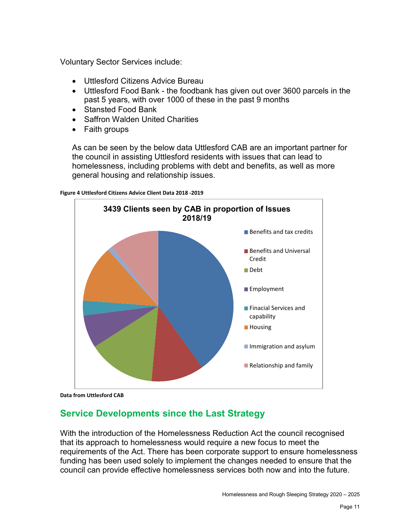Voluntary Sector Services include:

- Uttlesford Citizens Advice Bureau
- Uttlesford Food Bank the foodbank has given out over 3600 parcels in the past 5 years, with over 1000 of these in the past 9 months
- Stansted Food Bank
- Saffron Walden United Charities
- Faith groups

As can be seen by the below data Uttlesford CAB are an important partner for the council in assisting Uttlesford residents with issues that can lead to homelessness, including problems with debt and benefits, as well as more general housing and relationship issues.

**Figure 4 Uttlesford Citizens Advice Client Data 2018 -2019**



**Data from Uttlesford CAB**

## **Service Developments since the Last Strategy**

With the introduction of the Homelessness Reduction Act the council recognised that its approach to homelessness would require a new focus to meet the requirements of the Act. There has been corporate support to ensure homelessness funding has been used solely to implement the changes needed to ensure that the council can provide effective homelessness services both now and into the future.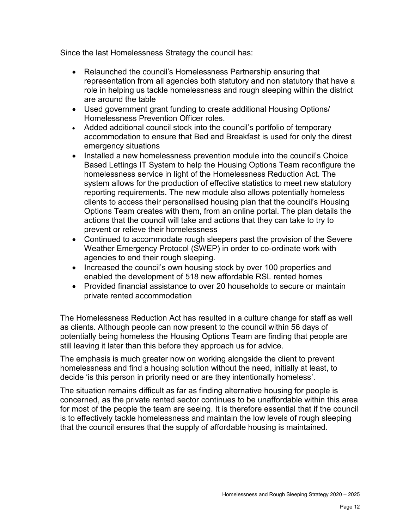Since the last Homelessness Strategy the council has:

- Relaunched the council's Homelessness Partnership ensuring that representation from all agencies both statutory and non statutory that have a role in helping us tackle homelessness and rough sleeping within the district are around the table
- Used government grant funding to create additional Housing Options/ Homelessness Prevention Officer roles.
- Added additional council stock into the council's portfolio of temporary accommodation to ensure that Bed and Breakfast is used for only the direst emergency situations
- Installed a new homelessness prevention module into the council's Choice Based Lettings IT System to help the Housing Options Team reconfigure the homelessness service in light of the Homelessness Reduction Act. The system allows for the production of effective statistics to meet new statutory reporting requirements. The new module also allows potentially homeless clients to access their personalised housing plan that the council's Housing Options Team creates with them, from an online portal. The plan details the actions that the council will take and actions that they can take to try to prevent or relieve their homelessness
- Continued to accommodate rough sleepers past the provision of the Severe Weather Emergency Protocol (SWEP) in order to co-ordinate work with agencies to end their rough sleeping.
- Increased the council's own housing stock by over 100 properties and enabled the development of 518 new affordable RSL rented homes
- Provided financial assistance to over 20 households to secure or maintain private rented accommodation

The Homelessness Reduction Act has resulted in a culture change for staff as well as clients. Although people can now present to the council within 56 days of potentially being homeless the Housing Options Team are finding that people are still leaving it later than this before they approach us for advice.

The emphasis is much greater now on working alongside the client to prevent homelessness and find a housing solution without the need, initially at least, to decide 'is this person in priority need or are they intentionally homeless'.

The situation remains difficult as far as finding alternative housing for people is concerned, as the private rented sector continues to be unaffordable within this area for most of the people the team are seeing. It is therefore essential that if the council is to effectively tackle homelessness and maintain the low levels of rough sleeping that the council ensures that the supply of affordable housing is maintained.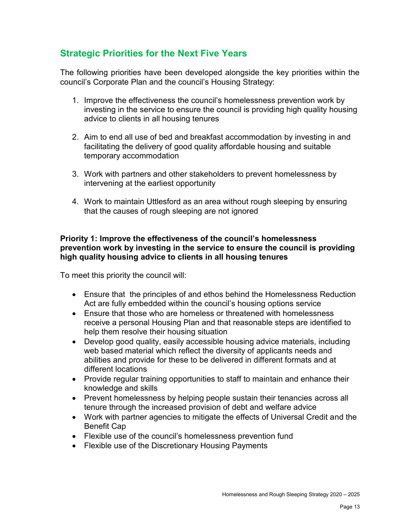## **Strategic Priorities for the Next Five Years**

The following priorities have been developed alongside the key priorities within the council's Corporate Plan and the council's Housing Strategy:

- 1. Improve the effectiveness the council's homelessness prevention work by investing in the service to ensure the council is providing high quality housing advice to clients in all housing tenures
- 2. Aim to end all use of bed and breakfast accommodation by investing in and facilitating the delivery of good quality affordable housing and suitable temporary accommodation
- 3. Work with partners and other stakeholders to prevent homelessness by intervening at the earliest opportunity
- 4. Work to maintain Uttlesford as an area without rough sleeping by ensuring that the causes of rough sleeping are not ignored

### **Priority 1: Improve the effectiveness of the council's homelessness prevention work by investing in the service to ensure the council is providing high quality housing advice to clients in all housing tenures**

To meet this priority the council will:

- Ensure that the principles of and ethos behind the Homelessness Reduction Act are fully embedded within the council's housing options service
- Ensure that those who are homeless or threatened with homelessness receive a personal Housing Plan and that reasonable steps are identified to help them resolve their housing situation
- Develop good quality, easily accessible housing advice materials, including web based material which reflect the diversity of applicants needs and abilities and provide for these to be delivered in different formats and at different locations
- Provide regular training opportunities to staff to maintain and enhance their knowledge and skills
- Prevent homelessness by helping people sustain their tenancies across all tenure through the increased provision of debt and welfare advice
- Work with partner agencies to mitigate the effects of Universal Credit and the Benefit Cap
- Flexible use of the council's homelessness prevention fund
- Flexible use of the Discretionary Housing Payments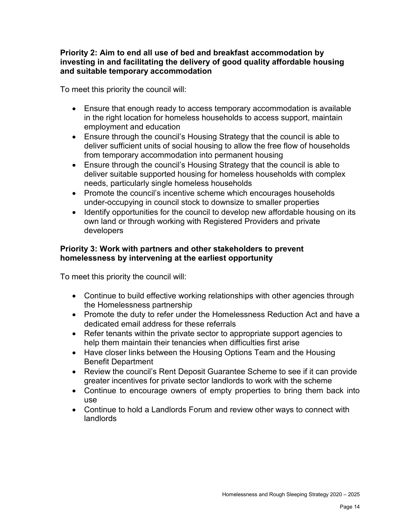#### **Priority 2: Aim to end all use of bed and breakfast accommodation by investing in and facilitating the delivery of good quality affordable housing and suitable temporary accommodation**

To meet this priority the council will:

- Ensure that enough ready to access temporary accommodation is available in the right location for homeless households to access support, maintain employment and education
- Ensure through the council's Housing Strategy that the council is able to deliver sufficient units of social housing to allow the free flow of households from temporary accommodation into permanent housing
- Ensure through the council's Housing Strategy that the council is able to deliver suitable supported housing for homeless households with complex needs, particularly single homeless households
- Promote the council's incentive scheme which encourages households under-occupying in council stock to downsize to smaller properties
- Identify opportunities for the council to develop new affordable housing on its own land or through working with Registered Providers and private developers

## **Priority 3: Work with partners and other stakeholders to prevent homelessness by intervening at the earliest opportunity**

To meet this priority the council will:

- Continue to build effective working relationships with other agencies through the Homelessness partnership
- Promote the duty to refer under the Homelessness Reduction Act and have a dedicated email address for these referrals
- Refer tenants within the private sector to appropriate support agencies to help them maintain their tenancies when difficulties first arise
- Have closer links between the Housing Options Team and the Housing Benefit Department
- Review the council's Rent Deposit Guarantee Scheme to see if it can provide greater incentives for private sector landlords to work with the scheme
- Continue to encourage owners of empty properties to bring them back into use
- Continue to hold a Landlords Forum and review other ways to connect with landlords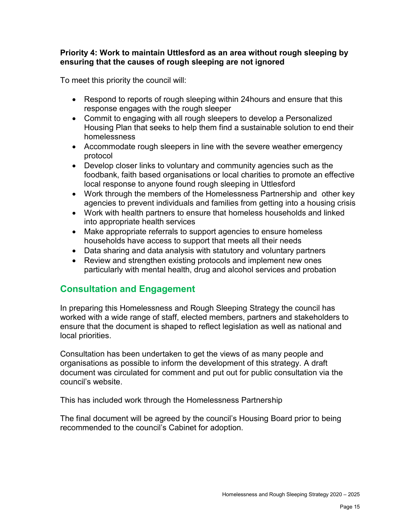#### **Priority 4: Work to maintain Uttlesford as an area without rough sleeping by ensuring that the causes of rough sleeping are not ignored**

To meet this priority the council will:

- Respond to reports of rough sleeping within 24 hours and ensure that this response engages with the rough sleeper
- Commit to engaging with all rough sleepers to develop a Personalized Housing Plan that seeks to help them find a sustainable solution to end their homelessness
- Accommodate rough sleepers in line with the severe weather emergency protocol
- Develop closer links to voluntary and community agencies such as the foodbank, faith based organisations or local charities to promote an effective local response to anyone found rough sleeping in Uttlesford
- Work through the members of the Homelessness Partnership and other key agencies to prevent individuals and families from getting into a housing crisis
- Work with health partners to ensure that homeless households and linked into appropriate health services
- Make appropriate referrals to support agencies to ensure homeless households have access to support that meets all their needs
- Data sharing and data analysis with statutory and voluntary partners
- Review and strengthen existing protocols and implement new ones particularly with mental health, drug and alcohol services and probation

## **Consultation and Engagement**

In preparing this Homelessness and Rough Sleeping Strategy the council has worked with a wide range of staff, elected members, partners and stakeholders to ensure that the document is shaped to reflect legislation as well as national and local priorities.

Consultation has been undertaken to get the views of as many people and organisations as possible to inform the development of this strategy. A draft document was circulated for comment and put out for public consultation via the council's website.

This has included work through the Homelessness Partnership

The final document will be agreed by the council's Housing Board prior to being recommended to the council's Cabinet for adoption.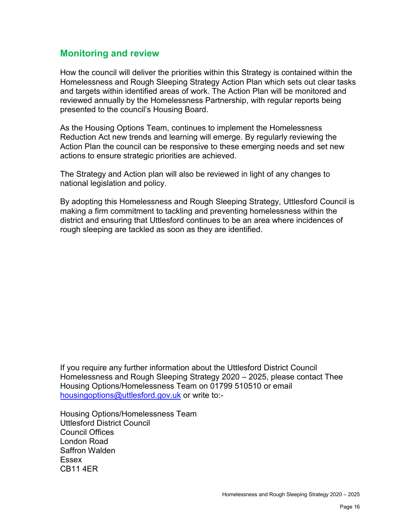## **Monitoring and review**

How the council will deliver the priorities within this Strategy is contained within the Homelessness and Rough Sleeping Strategy Action Plan which sets out clear tasks and targets within identified areas of work. The Action Plan will be monitored and reviewed annually by the Homelessness Partnership, with regular reports being presented to the council's Housing Board.

As the Housing Options Team, continues to implement the Homelessness Reduction Act new trends and learning will emerge. By regularly reviewing the Action Plan the council can be responsive to these emerging needs and set new actions to ensure strategic priorities are achieved.

The Strategy and Action plan will also be reviewed in light of any changes to national legislation and policy.

By adopting this Homelessness and Rough Sleeping Strategy, Uttlesford Council is making a firm commitment to tackling and preventing homelessness within the district and ensuring that Uttlesford continues to be an area where incidences of rough sleeping are tackled as soon as they are identified.

If you require any further information about the Uttlesford District Council Homelessness and Rough Sleeping Strategy 2020 – 2025, please contact Thee Housing Options/Homelessness Team on 01799 510510 or email [housingoptions@uttlesford.gov.uk](mailto:housingoptions@uttlesford.gov.uk) or write to:-

Housing Options/Homelessness Team Uttlesford District Council Council Offices London Road Saffron Walden Essex CB11 4ER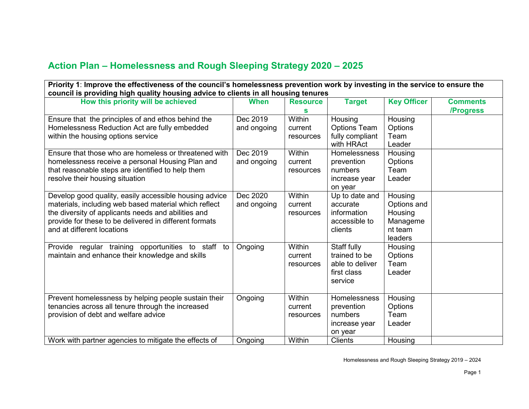## **Action Plan – Homelessness and Rough Sleeping Strategy 2020 – 2025**

| Priority 1: Improve the effectiveness of the council's homelessness prevention work by investing in the service to ensure the                                                                                                                                  |                         |                                       |                                                                           |                                                                     |                              |  |
|----------------------------------------------------------------------------------------------------------------------------------------------------------------------------------------------------------------------------------------------------------------|-------------------------|---------------------------------------|---------------------------------------------------------------------------|---------------------------------------------------------------------|------------------------------|--|
| council is providing high quality housing advice to clients in all housing tenures                                                                                                                                                                             |                         |                                       |                                                                           |                                                                     |                              |  |
| How this priority will be achieved                                                                                                                                                                                                                             | <b>When</b>             | <b>Resource</b><br>S                  | <b>Target</b>                                                             | <b>Key Officer</b>                                                  | <b>Comments</b><br>/Progress |  |
| Ensure that the principles of and ethos behind the<br>Homelessness Reduction Act are fully embedded<br>within the housing options service                                                                                                                      | Dec 2019<br>and ongoing | Within<br>current<br>resources        | Housing<br><b>Options Team</b><br>fully compliant<br>with HRAct           | Housing<br>Options<br>Team<br>Leader                                |                              |  |
| Ensure that those who are homeless or threatened with<br>homelessness receive a personal Housing Plan and<br>that reasonable steps are identified to help them<br>resolve their housing situation                                                              | Dec 2019<br>and ongoing | Within<br>current<br>resources        | Homelessness<br>prevention<br>numbers<br>increase year<br>on year         | Housing<br>Options<br>Team<br>Leader                                |                              |  |
| Develop good quality, easily accessible housing advice<br>materials, including web based material which reflect<br>the diversity of applicants needs and abilities and<br>provide for these to be delivered in different formats<br>and at different locations | Dec 2020<br>and ongoing | Within<br>current<br>resources        | Up to date and<br>accurate<br>information<br>accessible to<br>clients     | Housing<br>Options and<br>Housing<br>Manageme<br>nt team<br>leaders |                              |  |
| Provide regular training opportunities to staff to<br>maintain and enhance their knowledge and skills                                                                                                                                                          | Ongoing                 | <b>Within</b><br>current<br>resources | Staff fully<br>trained to be<br>able to deliver<br>first class<br>service | Housing<br>Options<br>Team<br>Leader                                |                              |  |
| Prevent homelessness by helping people sustain their<br>tenancies across all tenure through the increased<br>provision of debt and welfare advice                                                                                                              | Ongoing                 | Within<br>current<br>resources        | Homelessness<br>prevention<br>numbers<br>increase year<br>on year         | Housing<br>Options<br>Team<br>Leader                                |                              |  |
| Work with partner agencies to mitigate the effects of                                                                                                                                                                                                          | Ongoing                 | Within                                | <b>Clients</b>                                                            | Housing                                                             |                              |  |

Homelessness and Rough Sleeping Strategy 2019 – 2024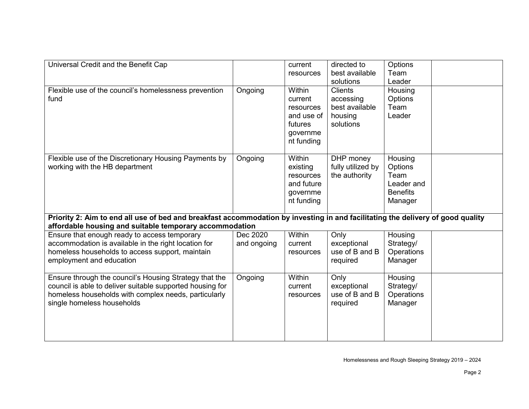| Universal Credit and the Benefit Cap                                                                                                                                                                      |                         | current<br>resources                                                                     | directed to<br>best available<br>solutions                            | Options<br>Team<br>Leader                                              |  |
|-----------------------------------------------------------------------------------------------------------------------------------------------------------------------------------------------------------|-------------------------|------------------------------------------------------------------------------------------|-----------------------------------------------------------------------|------------------------------------------------------------------------|--|
| Flexible use of the council's homelessness prevention<br>fund                                                                                                                                             | Ongoing                 | <b>Within</b><br>current<br>resources<br>and use of<br>futures<br>governme<br>nt funding | <b>Clients</b><br>accessing<br>best available<br>housing<br>solutions | Housing<br>Options<br>Team<br>Leader                                   |  |
| Flexible use of the Discretionary Housing Payments by<br>working with the HB department                                                                                                                   | Ongoing                 | Within<br>existing<br>resources<br>and future<br>governme<br>nt funding                  | DHP money<br>fully utilized by<br>the authority                       | Housing<br>Options<br>Team<br>Leader and<br><b>Benefits</b><br>Manager |  |
| Priority 2: Aim to end all use of bed and breakfast accommodation by investing in and facilitating the delivery of good quality<br>affordable housing and suitable temporary accommodation                |                         |                                                                                          |                                                                       |                                                                        |  |
| Ensure that enough ready to access temporary<br>accommodation is available in the right location for<br>homeless households to access support, maintain<br>employment and education                       | Dec 2020<br>and ongoing | <b>Within</b><br>current<br>resources                                                    | Only<br>exceptional<br>use of B and B<br>required                     | Housing<br>Strategy/<br>Operations<br>Manager                          |  |
| Ensure through the council's Housing Strategy that the<br>council is able to deliver suitable supported housing for<br>homeless households with complex needs, particularly<br>single homeless households | Ongoing                 | <b>Within</b><br>current<br>resources                                                    | Only<br>exceptional<br>use of B and B<br>required                     | Housing<br>Strategy/<br>Operations<br>Manager                          |  |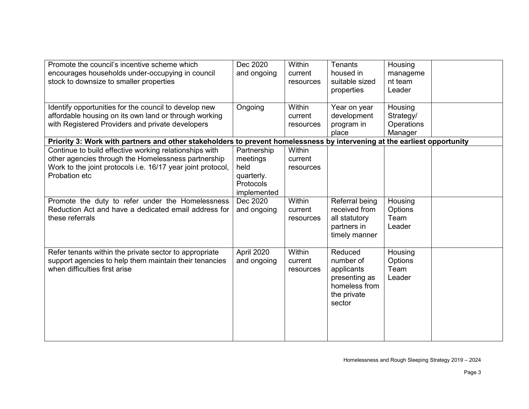| Promote the council's incentive scheme which<br>encourages households under-occupying in council<br>stock to downsize to smaller properties                                                   | Dec 2020<br>and ongoing                                                          | <b>Within</b><br>current<br>resources | <b>Tenants</b><br>housed in<br>suitable sized<br>properties                                   | Housing<br>manageme<br>nt team<br>Leader      |  |
|-----------------------------------------------------------------------------------------------------------------------------------------------------------------------------------------------|----------------------------------------------------------------------------------|---------------------------------------|-----------------------------------------------------------------------------------------------|-----------------------------------------------|--|
| Identify opportunities for the council to develop new<br>affordable housing on its own land or through working<br>with Registered Providers and private developers                            | Ongoing                                                                          | <b>Within</b><br>current<br>resources | Year on year<br>development<br>program in<br>place                                            | Housing<br>Strategy/<br>Operations<br>Manager |  |
| Priority 3: Work with partners and other stakeholders to prevent homelessness by intervening at the earliest opportunity                                                                      |                                                                                  |                                       |                                                                                               |                                               |  |
| Continue to build effective working relationships with<br>other agencies through the Homelessness partnership<br>Work to the joint protocols i.e. 16/17 year joint protocol,<br>Probation etc | Partnership<br>meetings<br>held<br>quarterly.<br><b>Protocols</b><br>implemented | Within<br>current<br>resources        |                                                                                               |                                               |  |
| Promote the duty to refer under the Homelessness<br>Reduction Act and have a dedicated email address for<br>these referrals                                                                   | Dec 2020<br>and ongoing                                                          | Within<br>current<br>resources        | Referral being<br>received from<br>all statutory<br>partners in<br>timely manner              | Housing<br>Options<br>Team<br>Leader          |  |
| Refer tenants within the private sector to appropriate<br>support agencies to help them maintain their tenancies<br>when difficulties first arise                                             | April 2020<br>and ongoing                                                        | <b>Within</b><br>current<br>resources | Reduced<br>number of<br>applicants<br>presenting as<br>homeless from<br>the private<br>sector | Housing<br>Options<br>Team<br>Leader          |  |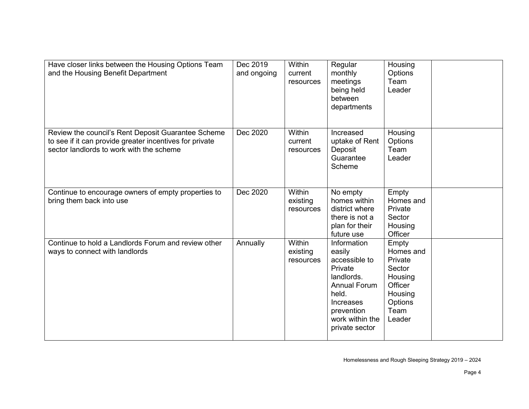| Have closer links between the Housing Options Team<br>and the Housing Benefit Department                                                                  | Dec 2019<br>and ongoing | Within<br>current<br>resources         | Regular<br>monthly<br>meetings<br>being held<br>between<br>departments                                                                                          | Housing<br>Options<br>Team<br>Leader                                                                  |  |
|-----------------------------------------------------------------------------------------------------------------------------------------------------------|-------------------------|----------------------------------------|-----------------------------------------------------------------------------------------------------------------------------------------------------------------|-------------------------------------------------------------------------------------------------------|--|
| Review the council's Rent Deposit Guarantee Scheme<br>to see if it can provide greater incentives for private<br>sector landlords to work with the scheme | Dec 2020                | <b>Within</b><br>current<br>resources  | Increased<br>uptake of Rent<br>Deposit<br>Guarantee<br>Scheme                                                                                                   | Housing<br>Options<br>Team<br>Leader                                                                  |  |
| Continue to encourage owners of empty properties to<br>bring them back into use                                                                           | Dec 2020                | <b>Within</b><br>existing<br>resources | No empty<br>homes within<br>district where<br>there is not a<br>plan for their<br>future use                                                                    | Empty<br>Homes and<br>Private<br>Sector<br>Housing<br>Officer                                         |  |
| Continue to hold a Landlords Forum and review other<br>ways to connect with landlords                                                                     | Annually                | <b>Within</b><br>existing<br>resources | Information<br>easily<br>accessible to<br>Private<br>landlords.<br><b>Annual Forum</b><br>held.<br>Increases<br>prevention<br>work within the<br>private sector | Empty<br>Homes and<br>Private<br>Sector<br>Housing<br>Officer<br>Housing<br>Options<br>Team<br>Leader |  |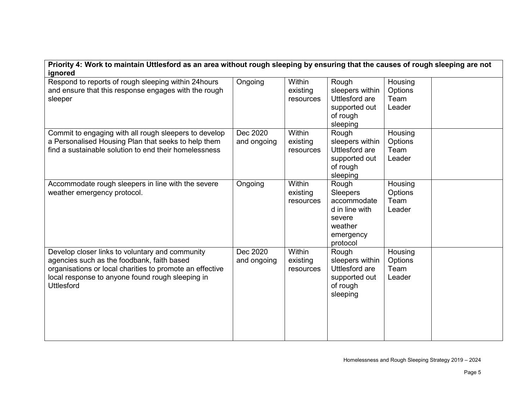| Priority 4: Work to maintain Uttlesford as an area without rough sleeping by ensuring that the causes of rough sleeping are not                                                                                                    |                         |                                        |                                                                                                  |                                      |  |  |
|------------------------------------------------------------------------------------------------------------------------------------------------------------------------------------------------------------------------------------|-------------------------|----------------------------------------|--------------------------------------------------------------------------------------------------|--------------------------------------|--|--|
| ignored                                                                                                                                                                                                                            |                         |                                        |                                                                                                  |                                      |  |  |
| Respond to reports of rough sleeping within 24hours<br>and ensure that this response engages with the rough<br>sleeper                                                                                                             | Ongoing                 | Within<br>existing<br>resources        | Rough<br>sleepers within<br>Uttlesford are<br>supported out<br>of rough<br>sleeping              | Housing<br>Options<br>Team<br>Leader |  |  |
| Commit to engaging with all rough sleepers to develop<br>a Personalised Housing Plan that seeks to help them<br>find a sustainable solution to end their homelessness                                                              | Dec 2020<br>and ongoing | <b>Within</b><br>existing<br>resources | Rough<br>sleepers within<br>Uttlesford are<br>supported out<br>of rough<br>sleeping              | Housing<br>Options<br>Team<br>Leader |  |  |
| Accommodate rough sleepers in line with the severe<br>weather emergency protocol.                                                                                                                                                  | Ongoing                 | Within<br>existing<br>resources        | Rough<br>Sleepers<br>accommodate<br>d in line with<br>severe<br>weather<br>emergency<br>protocol | Housing<br>Options<br>Team<br>Leader |  |  |
| Develop closer links to voluntary and community<br>agencies such as the foodbank, faith based<br>organisations or local charities to promote an effective<br>local response to anyone found rough sleeping in<br><b>Uttlesford</b> | Dec 2020<br>and ongoing | <b>Within</b><br>existing<br>resources | Rough<br>sleepers within<br>Uttlesford are<br>supported out<br>of rough<br>sleeping              | Housing<br>Options<br>Team<br>Leader |  |  |